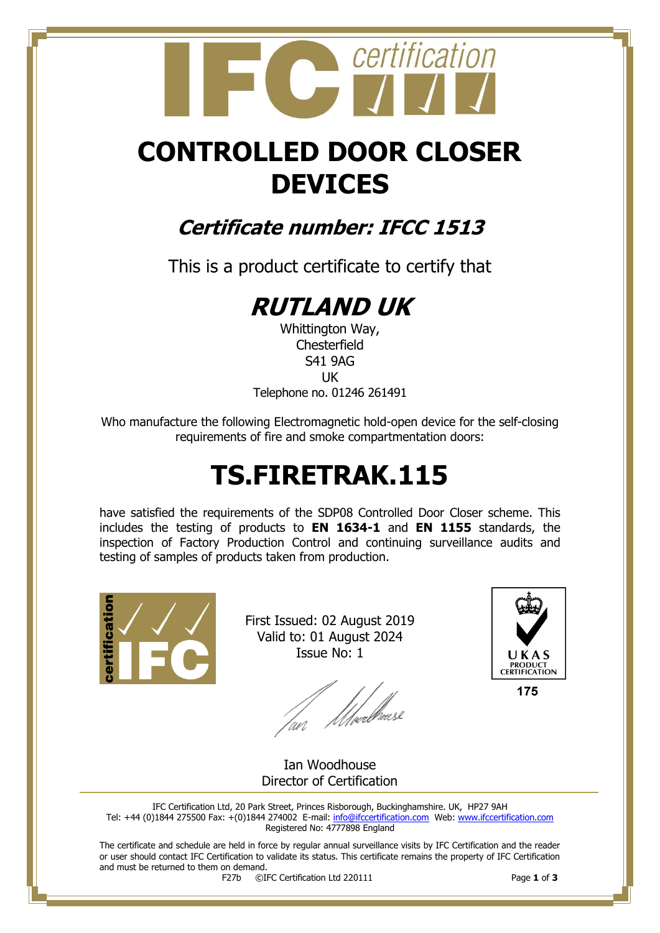## certification  **CONTROLLED DOOR CLOSER**

# **DEVICES**

### **Certificate number: IFCC 1513**

This is a product certificate to certify that

## **RUTLAND UK**

Whittington Way, **Chesterfield** S41 9AG UK Telephone no. 01246 261491

Who manufacture the following Electromagnetic hold-open device for the self-closing requirements of fire and smoke compartmentation doors:

## **TS.FIRETRAK.115**

have satisfied the requirements of the SDP08 Controlled Door Closer scheme. This includes the testing of products to **EN 1634-1** and **EN 1155** standards, the inspection of Factory Production Control and continuing surveillance audits and testing of samples of products taken from production.



First Issued: 02 August 2019 Valid to: 01 August 2024 Issue No: 1

lan Meedhaase



175

Ian Woodhouse Director of Certification

IFC Certification Ltd, 20 Park Street, Princes Risborough, Buckinghamshire. UK, HP27 9AH Tel: +44 (0)1844 275500 Fax: +(0)1844 274002 E-mail[: info@ifccertification.com](mailto:info@ifccertification.com) Web: [www.ifccertification.com](http://www.ifccertification.com/) Registered No: 4777898 England

The certificate and schedule are held in force by regular annual surveillance visits by IFC Certification and the reader or user should contact IFC Certification to validate its status. This certificate remains the property of IFC Certification and must be returned to them on demand.<br> $F27b$   $\odot$ I

F27b ©IFC Certification Ltd 220111 Page **1** of **3**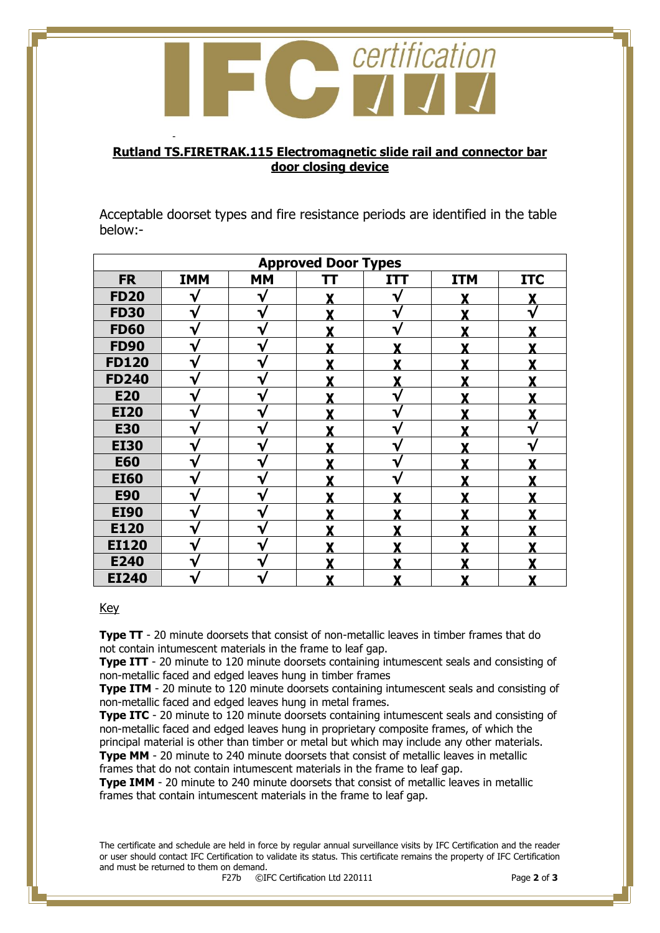

#### **Rutland TS.FIRETRAK.115 Electromagnetic slide rail and connector bar door closing device**

Acceptable doorset types and fire resistance periods are identified in the table below:-

| <b>Approved Door Types</b> |            |           |    |            |            |            |  |  |  |
|----------------------------|------------|-----------|----|------------|------------|------------|--|--|--|
| <b>FR</b>                  | <b>IMM</b> | <b>MM</b> | TТ | <b>ITT</b> | <b>ITM</b> | <b>ITC</b> |  |  |  |
| <b>FD20</b>                |            | V         |    | V          |            |            |  |  |  |
| <b>FD30</b>                | V          | ₩         |    |            |            |            |  |  |  |
| <b>FD60</b>                | V          | v         | v  | V          | v          | v          |  |  |  |
| <b>FD90</b>                | V          | v         | v  | v          | v          |            |  |  |  |
| <b>FD120</b>               | V          | V         | v  | v          | v          |            |  |  |  |
| <b>FD240</b>               | v          | ∿         |    |            | v          |            |  |  |  |
| <b>E20</b>                 | V          |           |    | V          |            |            |  |  |  |
| <b>EI20</b>                |            |           |    |            |            |            |  |  |  |
| <b>E30</b>                 |            |           |    | ٦          |            |            |  |  |  |
| <b>EI30</b>                |            |           |    |            |            |            |  |  |  |
| <b>E60</b>                 | V          | v         |    | V          | v          |            |  |  |  |
| <b>EI60</b>                | V          | ٦         | v  | V          | v          |            |  |  |  |
| <b>E90</b>                 | V          | ٦         | v  | v          | v          |            |  |  |  |
| <b>EI90</b>                | V          |           |    |            |            |            |  |  |  |
| E120                       | V          |           |    |            |            |            |  |  |  |
| <b>EI120</b>               | V          |           |    |            |            |            |  |  |  |
| E240                       | v          |           |    |            |            |            |  |  |  |
| <b>EI240</b>               | V          |           | Y  | X          | X          |            |  |  |  |

#### Key

-

**Type TT** - 20 minute doorsets that consist of non-metallic leaves in timber frames that do not contain intumescent materials in the frame to leaf gap.

**Type ITT** - 20 minute to 120 minute doorsets containing intumescent seals and consisting of non-metallic faced and edged leaves hung in timber frames

**Type ITM** - 20 minute to 120 minute doorsets containing intumescent seals and consisting of non-metallic faced and edged leaves hung in metal frames.

**Type ITC** - 20 minute to 120 minute doorsets containing intumescent seals and consisting of non-metallic faced and edged leaves hung in proprietary composite frames, of which the principal material is other than timber or metal but which may include any other materials.

**Type MM** - 20 minute to 240 minute doorsets that consist of metallic leaves in metallic frames that do not contain intumescent materials in the frame to leaf gap.

**Type IMM** - 20 minute to 240 minute doorsets that consist of metallic leaves in metallic frames that contain intumescent materials in the frame to leaf gap.

The certificate and schedule are held in force by regular annual surveillance visits by IFC Certification and the reader or user should contact IFC Certification to validate its status. This certificate remains the property of IFC Certification and must be returned to them on demand.<br> $F27b$   $\odot$ I

F27b ©IFC Certification Ltd 220111 Page **2** of **3**